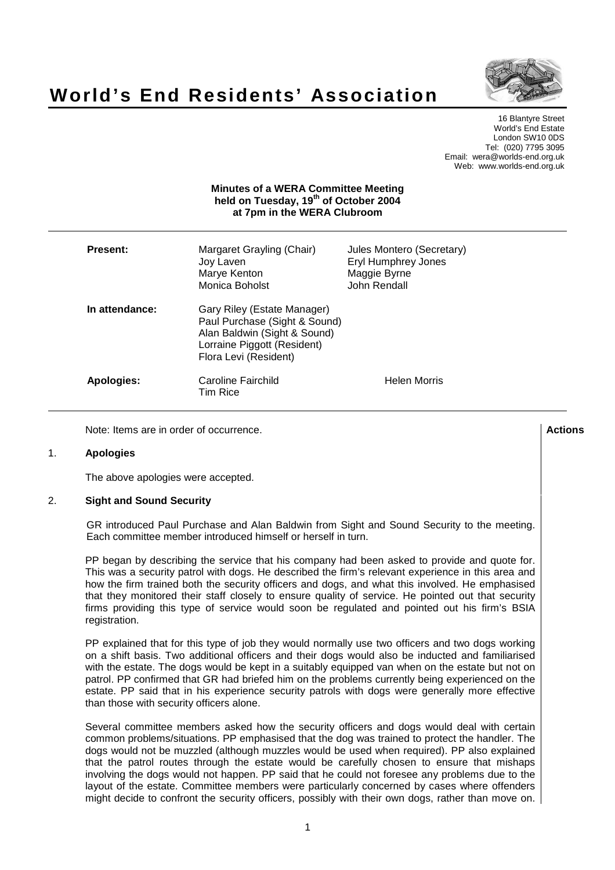



16 Blantyre Street World's End Estate London SW10 0DS Tel: (020) 7795 3095 Email: wera@worlds-end.org.uk Web: www.worlds-end.org.uk

## **Minutes of a WERA Committee Meeting held on Tuesday, 19th of October 2004 at 7pm in the WERA Clubroom**

| <b>Present:</b> | Margaret Grayling (Chair)<br>Joy Laven<br>Marye Kenton<br>Monica Boholst                                                                             | Jules Montero (Secretary)<br>Eryl Humphrey Jones<br>Maggie Byrne<br>John Rendall |
|-----------------|------------------------------------------------------------------------------------------------------------------------------------------------------|----------------------------------------------------------------------------------|
| In attendance:  | Gary Riley (Estate Manager)<br>Paul Purchase (Sight & Sound)<br>Alan Baldwin (Sight & Sound)<br>Lorraine Piggott (Resident)<br>Flora Levi (Resident) |                                                                                  |
| Apologies:      | Caroline Fairchild<br>Tim Rice                                                                                                                       | <b>Helen Morris</b>                                                              |

Note: Items are in order of occurrence. **Actions**

# 1. **Apologies**

The above apologies were accepted.

# 2. **Sight and Sound Security**

GR introduced Paul Purchase and Alan Baldwin from Sight and Sound Security to the meeting. Each committee member introduced himself or herself in turn.

PP began by describing the service that his company had been asked to provide and quote for. This was a security patrol with dogs. He described the firm's relevant experience in this area and how the firm trained both the security officers and dogs, and what this involved. He emphasised that they monitored their staff closely to ensure quality of service. He pointed out that security firms providing this type of service would soon be regulated and pointed out his firm's BSIA registration.

PP explained that for this type of job they would normally use two officers and two dogs working on a shift basis. Two additional officers and their dogs would also be inducted and familiarised with the estate. The dogs would be kept in a suitably equipped van when on the estate but not on patrol. PP confirmed that GR had briefed him on the problems currently being experienced on the estate. PP said that in his experience security patrols with dogs were generally more effective than those with security officers alone.

Several committee members asked how the security officers and dogs would deal with certain common problems/situations. PP emphasised that the dog was trained to protect the handler. The dogs would not be muzzled (although muzzles would be used when required). PP also explained that the patrol routes through the estate would be carefully chosen to ensure that mishaps involving the dogs would not happen. PP said that he could not foresee any problems due to the layout of the estate. Committee members were particularly concerned by cases where offenders might decide to confront the security officers, possibly with their own dogs, rather than move on.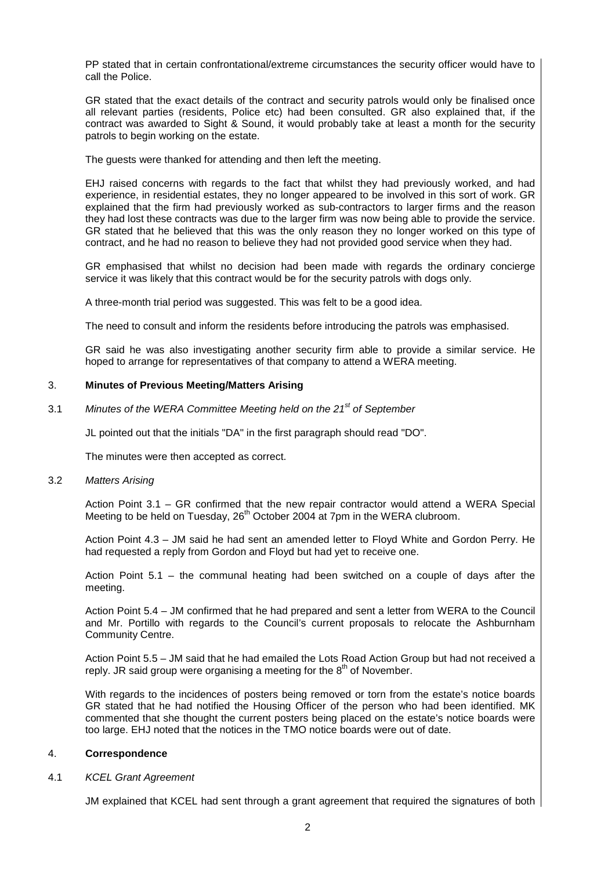PP stated that in certain confrontational/extreme circumstances the security officer would have to call the Police.

GR stated that the exact details of the contract and security patrols would only be finalised once all relevant parties (residents, Police etc) had been consulted. GR also explained that, if the contract was awarded to Sight & Sound, it would probably take at least a month for the security patrols to begin working on the estate.

The guests were thanked for attending and then left the meeting.

EHJ raised concerns with regards to the fact that whilst they had previously worked, and had experience, in residential estates, they no longer appeared to be involved in this sort of work. GR explained that the firm had previously worked as sub-contractors to larger firms and the reason they had lost these contracts was due to the larger firm was now being able to provide the service. GR stated that he believed that this was the only reason they no longer worked on this type of contract, and he had no reason to believe they had not provided good service when they had.

GR emphasised that whilst no decision had been made with regards the ordinary concierge service it was likely that this contract would be for the security patrols with dogs only.

A three-month trial period was suggested. This was felt to be a good idea.

The need to consult and inform the residents before introducing the patrols was emphasised.

GR said he was also investigating another security firm able to provide a similar service. He hoped to arrange for representatives of that company to attend a WERA meeting.

#### 3. **Minutes of Previous Meeting/Matters Arising**

3.1 Minutes of the WERA Committee Meeting held on the 21<sup>st</sup> of September

JL pointed out that the initials "DA" in the first paragraph should read "DO".

The minutes were then accepted as correct.

## 3.2 Matters Arising

Action Point 3.1 – GR confirmed that the new repair contractor would attend a WERA Special Meeting to be held on Tuesday, 26<sup>th</sup> October 2004 at 7pm in the WERA clubroom.

Action Point 4.3 – JM said he had sent an amended letter to Floyd White and Gordon Perry. He had requested a reply from Gordon and Floyd but had yet to receive one.

Action Point 5.1 – the communal heating had been switched on a couple of days after the meeting.

Action Point 5.4 – JM confirmed that he had prepared and sent a letter from WERA to the Council and Mr. Portillo with regards to the Council's current proposals to relocate the Ashburnham Community Centre.

Action Point 5.5 – JM said that he had emailed the Lots Road Action Group but had not received a reply. JR said group were organising a meeting for the  $8<sup>th</sup>$  of November.

With regards to the incidences of posters being removed or torn from the estate's notice boards GR stated that he had notified the Housing Officer of the person who had been identified. MK commented that she thought the current posters being placed on the estate's notice boards were too large. EHJ noted that the notices in the TMO notice boards were out of date.

## 4. **Correspondence**

#### 4.1 KCEL Grant Agreement

JM explained that KCEL had sent through a grant agreement that required the signatures of both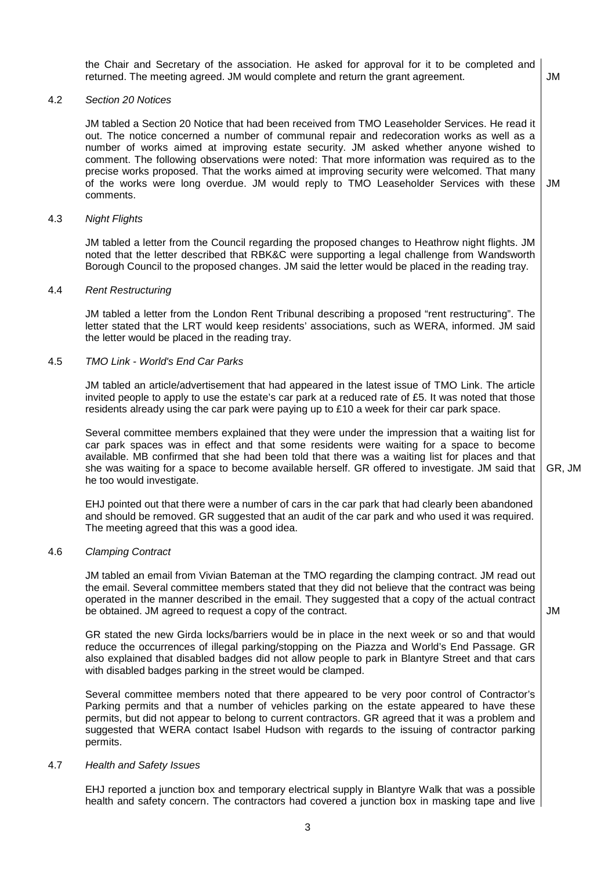the Chair and Secretary of the association. He asked for approval for it to be completed and returned. The meeting agreed. JM would complete and return the grant agreement. JM

## 4.2 Section 20 Notices

JM tabled a Section 20 Notice that had been received from TMO Leaseholder Services. He read it out. The notice concerned a number of communal repair and redecoration works as well as a number of works aimed at improving estate security. JM asked whether anyone wished to comment. The following observations were noted: That more information was required as to the precise works proposed. That the works aimed at improving security were welcomed. That many of the works were long overdue. JM would reply to TMO Leaseholder Services with these comments. JM

## 4.3 Night Flights

JM tabled a letter from the Council regarding the proposed changes to Heathrow night flights. JM noted that the letter described that RBK&C were supporting a legal challenge from Wandsworth Borough Council to the proposed changes. JM said the letter would be placed in the reading tray.

#### 4.4 Rent Restructuring

JM tabled a letter from the London Rent Tribunal describing a proposed "rent restructuring". The letter stated that the LRT would keep residents' associations, such as WERA, informed. JM said the letter would be placed in the reading tray.

## 4.5 TMO Link - World's End Car Parks

JM tabled an article/advertisement that had appeared in the latest issue of TMO Link. The article invited people to apply to use the estate's car park at a reduced rate of £5. It was noted that those residents already using the car park were paying up to £10 a week for their car park space.

Several committee members explained that they were under the impression that a waiting list for car park spaces was in effect and that some residents were waiting for a space to become available. MB confirmed that she had been told that there was a waiting list for places and that she was waiting for a space to become available herself. GR offered to investigate. JM said that he too would investigate.

EHJ pointed out that there were a number of cars in the car park that had clearly been abandoned and should be removed. GR suggested that an audit of the car park and who used it was required. The meeting agreed that this was a good idea.

# 4.6 Clamping Contract

JM tabled an email from Vivian Bateman at the TMO regarding the clamping contract. JM read out the email. Several committee members stated that they did not believe that the contract was being operated in the manner described in the email. They suggested that a copy of the actual contract be obtained. JM agreed to request a copy of the contract.

JM

GR, JM

GR stated the new Girda locks/barriers would be in place in the next week or so and that would reduce the occurrences of illegal parking/stopping on the Piazza and World's End Passage. GR also explained that disabled badges did not allow people to park in Blantyre Street and that cars with disabled badges parking in the street would be clamped.

Several committee members noted that there appeared to be very poor control of Contractor's Parking permits and that a number of vehicles parking on the estate appeared to have these permits, but did not appear to belong to current contractors. GR agreed that it was a problem and suggested that WERA contact Isabel Hudson with regards to the issuing of contractor parking permits.

# 4.7 Health and Safety Issues

EHJ reported a junction box and temporary electrical supply in Blantyre Walk that was a possible health and safety concern. The contractors had covered a junction box in masking tape and live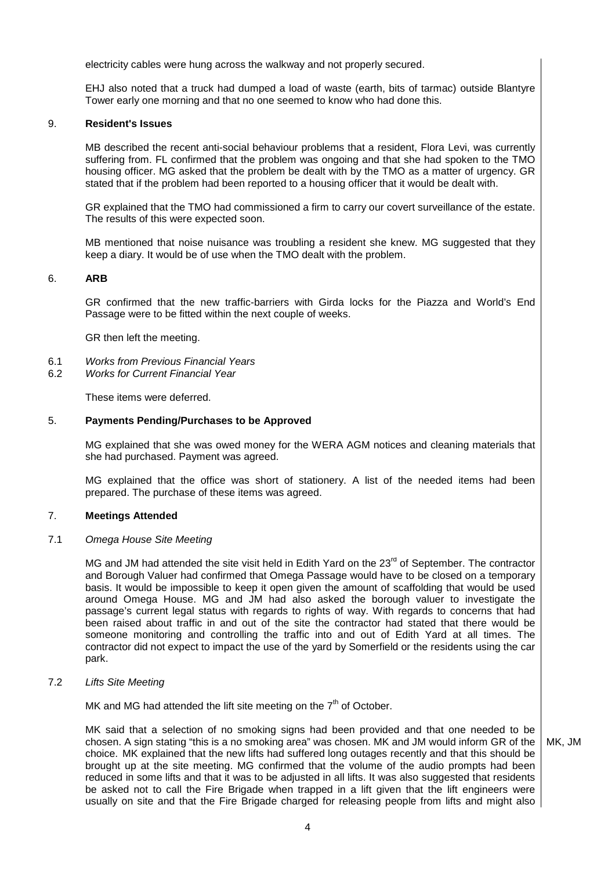electricity cables were hung across the walkway and not properly secured.

EHJ also noted that a truck had dumped a load of waste (earth, bits of tarmac) outside Blantyre Tower early one morning and that no one seemed to know who had done this.

#### 9. **Resident's Issues**

MB described the recent anti-social behaviour problems that a resident, Flora Levi, was currently suffering from. FL confirmed that the problem was ongoing and that she had spoken to the TMO housing officer. MG asked that the problem be dealt with by the TMO as a matter of urgency. GR stated that if the problem had been reported to a housing officer that it would be dealt with.

GR explained that the TMO had commissioned a firm to carry our covert surveillance of the estate. The results of this were expected soon.

MB mentioned that noise nuisance was troubling a resident she knew. MG suggested that they keep a diary. It would be of use when the TMO dealt with the problem.

## 6. **ARB**

GR confirmed that the new traffic-barriers with Girda locks for the Piazza and World's End Passage were to be fitted within the next couple of weeks.

GR then left the meeting.

- 6.1 Works from Previous Financial Years
- 6.2 Works for Current Financial Year

These items were deferred.

# 5. **Payments Pending/Purchases to be Approved**

MG explained that she was owed money for the WERA AGM notices and cleaning materials that she had purchased. Payment was agreed.

MG explained that the office was short of stationery. A list of the needed items had been prepared. The purchase of these items was agreed.

# 7. **Meetings Attended**

#### 7.1 Omega House Site Meeting

MG and JM had attended the site visit held in Edith Yard on the 23<sup>rd</sup> of September. The contractor and Borough Valuer had confirmed that Omega Passage would have to be closed on a temporary basis. It would be impossible to keep it open given the amount of scaffolding that would be used around Omega House. MG and JM had also asked the borough valuer to investigate the passage's current legal status with regards to rights of way. With regards to concerns that had been raised about traffic in and out of the site the contractor had stated that there would be someone monitoring and controlling the traffic into and out of Edith Yard at all times. The contractor did not expect to impact the use of the yard by Somerfield or the residents using the car park.

#### 7.2 Lifts Site Meeting

MK and MG had attended the lift site meeting on the  $7<sup>th</sup>$  of October.

MK said that a selection of no smoking signs had been provided and that one needed to be chosen. A sign stating "this is a no smoking area" was chosen. MK and JM would inform GR of the choice. MK explained that the new lifts had suffered long outages recently and that this should be brought up at the site meeting. MG confirmed that the volume of the audio prompts had been reduced in some lifts and that it was to be adjusted in all lifts. It was also suggested that residents be asked not to call the Fire Brigade when trapped in a lift given that the lift engineers were usually on site and that the Fire Brigade charged for releasing people from lifts and might also

MK, JM